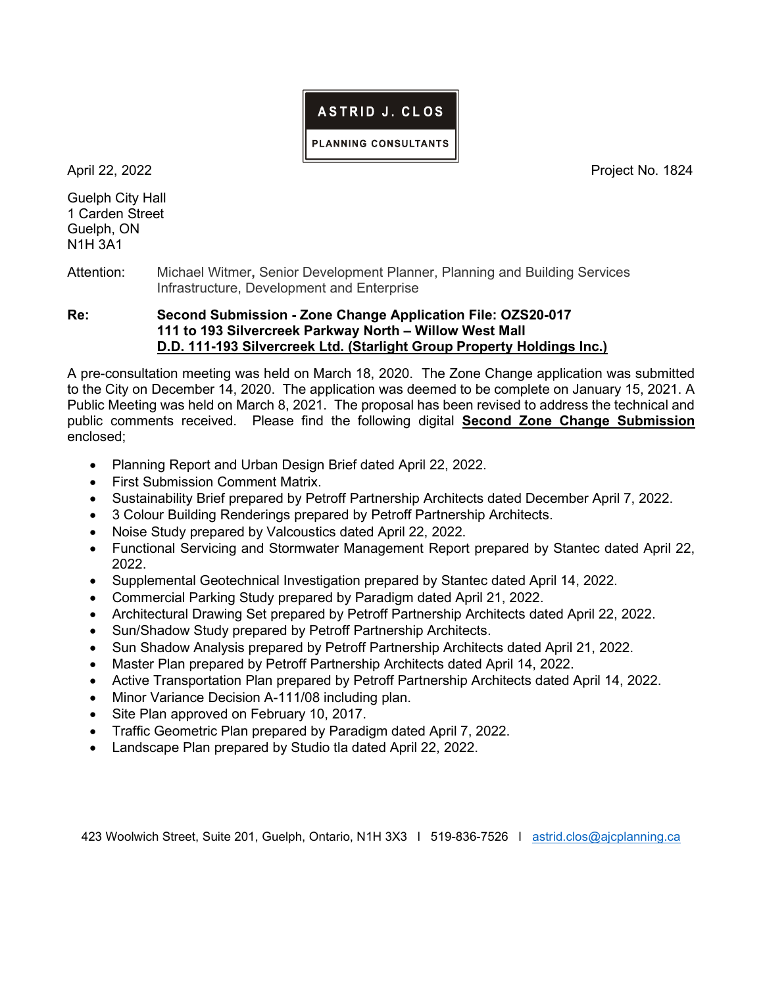## ASTRID J. CLOS

PLANNING CONSULTANTS

Guelph City Hall 1 Carden Street Guelph, ON N1H 3A1

April 22, 2022 **Project No. 1824** 

Attention: Michael Witmer, Senior Development Planner, Planning and Building Services Infrastructure, Development and Enterprise

Re: Second Submission - Zone Change Application File: OZS20-017 111 to 193 Silvercreek Parkway North – Willow West Mall D.D. 111-193 Silvercreek Ltd. (Starlight Group Property Holdings Inc.)

A pre-consultation meeting was held on March 18, 2020. The Zone Change application was submitted to the City on December 14, 2020. The application was deemed to be complete on January 15, 2021. A Public Meeting was held on March 8, 2021. The proposal has been revised to address the technical and public comments received. Please find the following digital **Second Zone Change Submission** enclosed;

- Planning Report and Urban Design Brief dated April 22, 2022.
- First Submission Comment Matrix.
- Sustainability Brief prepared by Petroff Partnership Architects dated December April 7, 2022.
- 3 Colour Building Renderings prepared by Petroff Partnership Architects.
- Noise Study prepared by Valcoustics dated April 22, 2022.
- Functional Servicing and Stormwater Management Report prepared by Stantec dated April 22, 2022.
- Supplemental Geotechnical Investigation prepared by Stantec dated April 14, 2022.
- Commercial Parking Study prepared by Paradigm dated April 21, 2022.
- Architectural Drawing Set prepared by Petroff Partnership Architects dated April 22, 2022.
- Sun/Shadow Study prepared by Petroff Partnership Architects.
- Sun Shadow Analysis prepared by Petroff Partnership Architects dated April 21, 2022.
- Master Plan prepared by Petroff Partnership Architects dated April 14, 2022.
- Active Transportation Plan prepared by Petroff Partnership Architects dated April 14, 2022.
- Minor Variance Decision A-111/08 including plan.
- Site Plan approved on February 10, 2017.
- Traffic Geometric Plan prepared by Paradigm dated April 7, 2022.
- Landscape Plan prepared by Studio tla dated April 22, 2022.

423 Woolwich Street, Suite 201, Guelph, Ontario, N1H 3X3 l 519-836-7526 l astrid.clos@ajcplanning.ca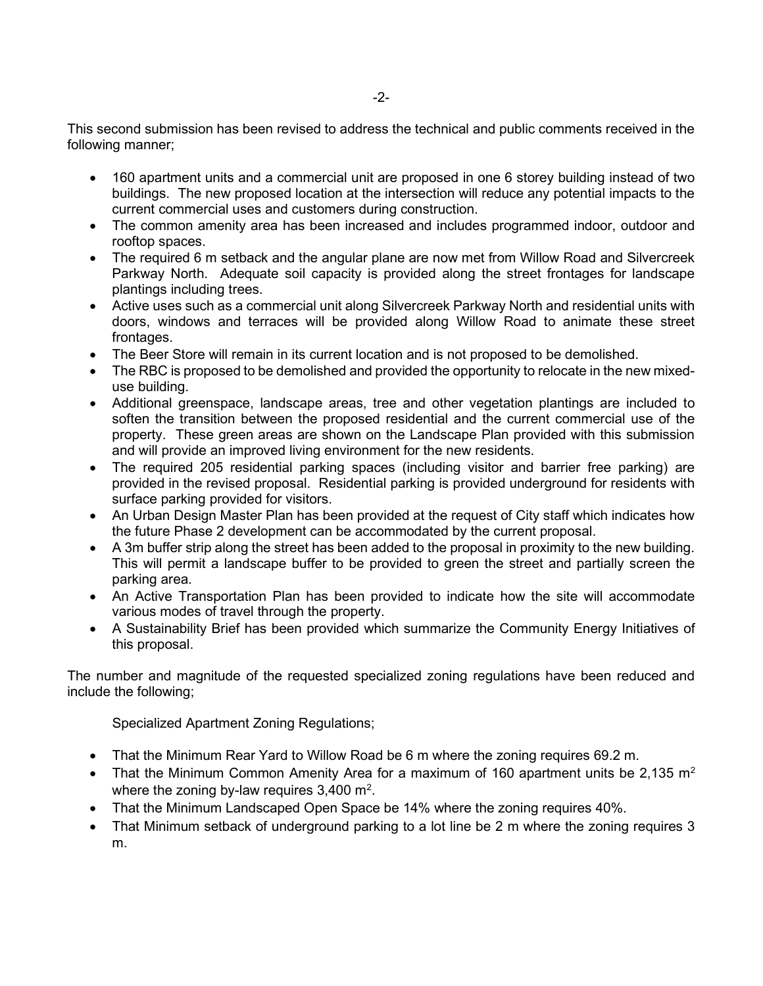This second submission has been revised to address the technical and public comments received in the following manner;

- 160 apartment units and a commercial unit are proposed in one 6 storey building instead of two buildings. The new proposed location at the intersection will reduce any potential impacts to the current commercial uses and customers during construction.
- The common amenity area has been increased and includes programmed indoor, outdoor and rooftop spaces.
- The required 6 m setback and the angular plane are now met from Willow Road and Silvercreek Parkway North. Adequate soil capacity is provided along the street frontages for landscape plantings including trees.
- Active uses such as a commercial unit along Silvercreek Parkway North and residential units with doors, windows and terraces will be provided along Willow Road to animate these street frontages.
- The Beer Store will remain in its current location and is not proposed to be demolished.
- The RBC is proposed to be demolished and provided the opportunity to relocate in the new mixeduse building.
- Additional greenspace, landscape areas, tree and other vegetation plantings are included to soften the transition between the proposed residential and the current commercial use of the property. These green areas are shown on the Landscape Plan provided with this submission and will provide an improved living environment for the new residents.
- The required 205 residential parking spaces (including visitor and barrier free parking) are provided in the revised proposal. Residential parking is provided underground for residents with surface parking provided for visitors.
- An Urban Design Master Plan has been provided at the request of City staff which indicates how the future Phase 2 development can be accommodated by the current proposal.
- A 3m buffer strip along the street has been added to the proposal in proximity to the new building. This will permit a landscape buffer to be provided to green the street and partially screen the parking area.
- An Active Transportation Plan has been provided to indicate how the site will accommodate various modes of travel through the property.
- A Sustainability Brief has been provided which summarize the Community Energy Initiatives of this proposal.

The number and magnitude of the requested specialized zoning regulations have been reduced and include the following;

Specialized Apartment Zoning Regulations;

- That the Minimum Rear Yard to Willow Road be 6 m where the zoning requires 69.2 m.
- That the Minimum Common Amenity Area for a maximum of 160 apartment units be 2,135  $m^2$ where the zoning by-law requires  $3,400 \text{ m}^2$ .
- That the Minimum Landscaped Open Space be 14% where the zoning requires 40%.
- That Minimum setback of underground parking to a lot line be 2 m where the zoning requires 3 m.